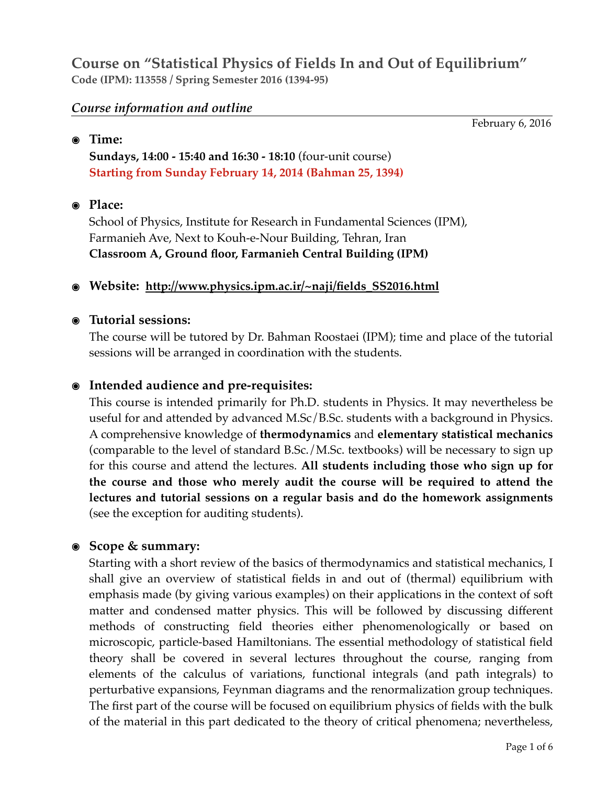# **Course on "Statistical Physics of Fields In and Out of Equilibrium" Code (IPM): 113558 / Spring Semester 2016 (1394-95)**

### *Course information and outline*

February 6, 2016

#### **๏ Time:**

**Sundays, 14:00 - 15:40 and 16:30 - 18:10** (four-unit course) **Starting from Sunday February 14, 2014 (Bahman 25, 1394)** 

### **๏ Place:**

School of Physics, Institute for Research in Fundamental Sciences (IPM), Farmanieh Ave, Next to Kouh-e-Nour Building, Tehran, Iran  **Classroom A, Ground floor, Farmanieh Central Building (IPM)**

### **๏ Website: [http://www.physics.ipm.ac.ir/~naji/fields\\_SS2016.html](http://www.physics.ipm.ac.ir/~naji/fields_SS2016.html)**

### **๏ Tutorial sessions:**

The course will be tutored by Dr. Bahman Roostaei (IPM); time and place of the tutorial sessions will be arranged in coordination with the students.

## **๏ Intended audience and pre-requisites:**

This course is intended primarily for Ph.D. students in Physics. It may nevertheless be useful for and attended by advanced M.Sc/B.Sc. students with a background in Physics. A comprehensive knowledge of **thermodynamics** and **elementary statistical mechanics** (comparable to the level of standard B.Sc./M.Sc. textbooks) will be necessary to sign up for this course and attend the lectures. **All students including those who sign up for the course and those who merely audit the course will be required to attend the lectures and tutorial sessions on a regular basis and do the homework assignments** (see the exception for auditing students).

## **๏ Scope & summary:**

Starting with a short review of the basics of thermodynamics and statistical mechanics, I shall give an overview of statistical fields in and out of (thermal) equilibrium with emphasis made (by giving various examples) on their applications in the context of soft matter and condensed matter physics. This will be followed by discussing different methods of constructing field theories either phenomenologically or based on microscopic, particle-based Hamiltonians. The essential methodology of statistical field theory shall be covered in several lectures throughout the course, ranging from elements of the calculus of variations, functional integrals (and path integrals) to perturbative expansions, Feynman diagrams and the renormalization group techniques. The first part of the course will be focused on equilibrium physics of fields with the bulk of the material in this part dedicated to the theory of critical phenomena; nevertheless,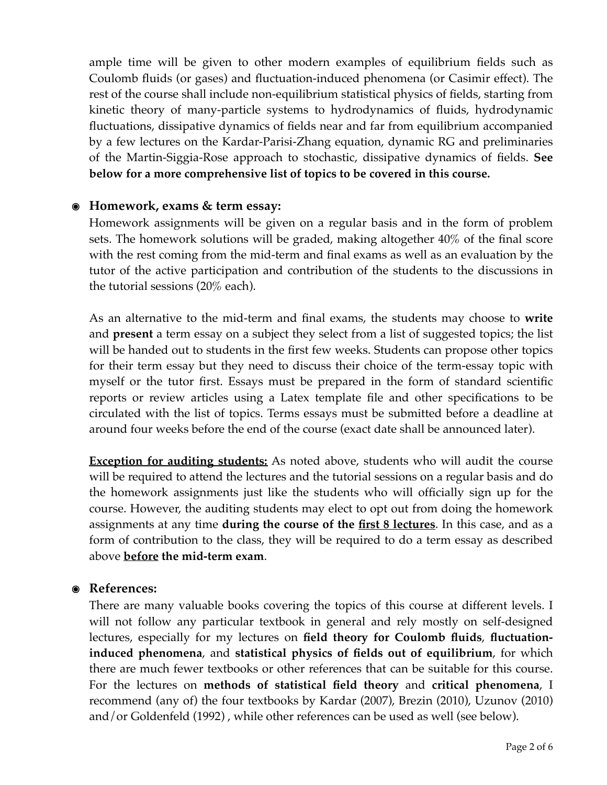ample time will be given to other modern examples of equilibrium fields such as Coulomb fluids (or gases) and fluctuation-induced phenomena (or Casimir effect). The rest of the course shall include non-equilibrium statistical physics of fields, starting from kinetic theory of many-particle systems to hydrodynamics of fluids, hydrodynamic fluctuations, dissipative dynamics of fields near and far from equilibrium accompanied by a few lectures on the Kardar-Parisi-Zhang equation, dynamic RG and preliminaries of the Martin-Siggia-Rose approach to stochastic, dissipative dynamics of fields. **See below for a more comprehensive list of topics to be covered in this course.** 

## **๏ Homework, exams & term essay:**

Homework assignments will be given on a regular basis and in the form of problem sets. The homework solutions will be graded, making altogether 40% of the final score with the rest coming from the mid-term and final exams as well as an evaluation by the tutor of the active participation and contribution of the students to the discussions in the tutorial sessions (20% each).

As an alternative to the mid-term and final exams, the students may choose to **write** and **present** a term essay on a subject they select from a list of suggested topics; the list will be handed out to students in the first few weeks. Students can propose other topics for their term essay but they need to discuss their choice of the term-essay topic with myself or the tutor first. Essays must be prepared in the form of standard scientific reports or review articles using a Latex template file and other specifications to be circulated with the list of topics. Terms essays must be submitted before a deadline at around four weeks before the end of the course (exact date shall be announced later).

**Exception for auditing students:** As noted above, students who will audit the course will be required to attend the lectures and the tutorial sessions on a regular basis and do the homework assignments just like the students who will officially sign up for the course. However, the auditing students may elect to opt out from doing the homework assignments at any time **during the course of the first 8 lectures**. In this case, and as a form of contribution to the class, they will be required to do a term essay as described above **before the mid-term exam**.

## **๏ References:**

There are many valuable books covering the topics of this course at different levels. I will not follow any particular textbook in general and rely mostly on self-designed lectures, especially for my lectures on **field theory for Coulomb fluids**, **fluctuationinduced phenomena**, and **statistical physics of fields out of equilibrium**, for which there are much fewer textbooks or other references that can be suitable for this course. For the lectures on **methods of statistical field theory** and **critical phenomena**, I recommend (any of) the four textbooks by Kardar (2007), Brezin (2010), Uzunov (2010) and/or Goldenfeld (1992) , while other references can be used as well (see below).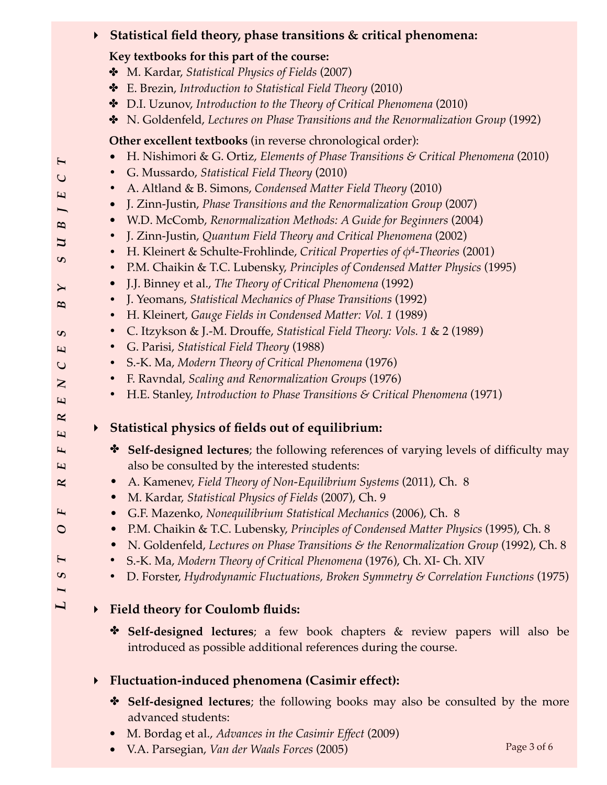# **‣ Statistical field theory, phase transitions & critical phenomena:**

### **Key textbooks for this part of the course:**

- ✤ M. Kardar, *Statistical Physics of Fields* (2007)
- ✤ E. Brezin, *Introduction to Statistical Field Theory* (2010)
- ✤ D.I. Uzunov, *Introduction to the Theory of Critical Phenomena* (2010)
- ✤ N. Goldenfeld, *Lectures on Phase Transitions and the Renormalization Group* (1992)

# **Other excellent textbooks** (in reverse chronological order):

- H. Nishimori & G. Ortiz, *Elements of Phase Transitions & Critical Phenomena* (2010)
- **•** G. Mussardo, *Statistical Field Theory* (2010)
- **•** A. Altland & B. Simons, *Condensed Matter Field Theory* (2010)
- J. Zinn-Justin, *Phase Transitions and the Renormalization Group* (2007)
- W.D. McComb, *Renormalization Methods: A Guide for Beginners* (2004)
- **•** J. Zinn-Justin, *Quantum Field Theory and Critical Phenomena* (2002)
- **•** H. Kleinert & Schulte-Frohlinde, *Critical Properties of φ4-Theories* (2001)
- **•** P.M. Chaikin & T.C. Lubensky, *Principles of Condensed Matter Physics* (1995)
- J.J. Binney et al., *The Theory of Critical Phenomena* (1992)
- **•** J. Yeomans, *Statistical Mechanics of Phase Transitions* (1992)
- **•** H. Kleinert, *Gauge Fields in Condensed Matter: Vol. 1* (1989)
- **•** C. Itzykson & J.-M. Drouffe, *Statistical Field Theory: Vols. 1* & 2 (1989)
	- **•** G. Parisi, *Statistical Field Theory* (1988)
	- **•** S.-K. Ma, *Modern Theory of Critical Phenomena* (1976)
	- **•** F. Ravndal, *Scaling and Renormalization Groups* (1976)
	- **•** H.E. Stanley, *Introduction to Phase Transitions & Critical Phenomena* (1971)

# **‣ Statistical physics of fields out of equilibrium:**

- ✤ **Self-designed lectures**; the following references of varying levels of difficulty may also be consulted by the interested students:
- A. Kamenev, *Field Theory of Non-Equilibrium Systems* (2011), Ch. 8
- M. Kardar, *Statistical Physics of Fields* (2007), Ch. 9
- G.F. Mazenko, *Nonequilibrium Statistical Mechanics* (2006), Ch. 8
- P.M. Chaikin & T.C. Lubensky, *Principles of Condensed Matter Physics* (1995), Ch. 8
- N. Goldenfeld, *Lectures on Phase Transitions & the Renormalization Group* (1992), Ch. 8
- **•** S.-K. Ma, *Modern Theory of Critical Phenomena* (1976), Ch. XI- Ch. XIV
- **•** D. Forster, *Hydrodynamic Fluctuations, Broken Symmetry & Correlation Functions* (1975)

# **‣ Field theory for Coulomb fluids:**

*L*

F  $\circ$ 

 $\mathbf{H}$  $\mathbf{c}$ I

*IST O F REFERENCES B Y SUBJECT*

 $\blacktriangleright$  $\boldsymbol{B}$ 

 $\boldsymbol{\omega}$ E  $\mathsf{C}$  $\mathbf{Z}$  $\overline{2}$  $\mathbf{z}$ E F  $\overline{\mathbf{r}}$  $\mathbf{R}$ 

 $\blacktriangleright$  $\cup$  $\overline{\mathbf{E}}$  $\overline{}$ B J  $\mathbf{c}$ 

> ✤ **Self-designed lectures**; a few book chapters & review papers will also be introduced as possible additional references during the course.

# **‣ Fluctuation-induced phenomena (Casimir effect):**

- ✤ **Self-designed lectures**; the following books may also be consulted by the more advanced students:
- M. Bordag et al., *Advances in the Casimir Effect* (2009)
- V.A. Parsegian, *Van der Waals Forces* (2005)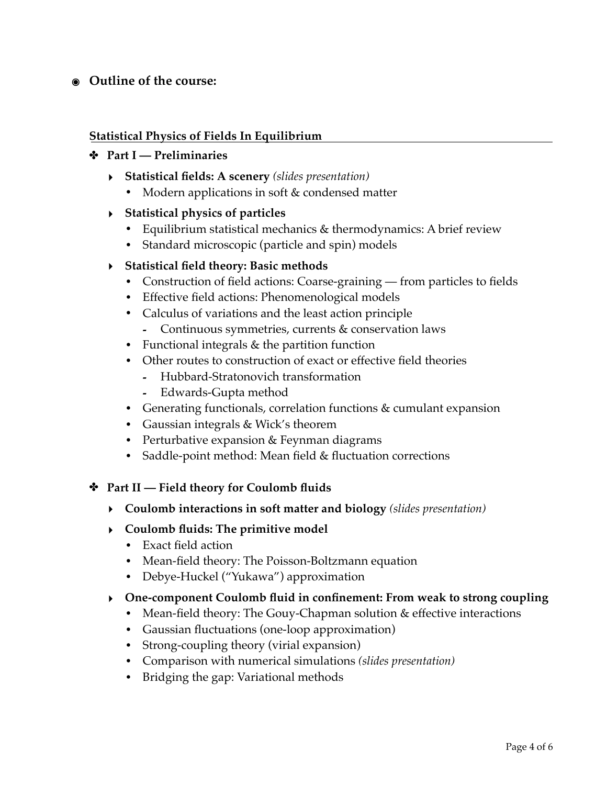# **๏ Outline of the course:**

#### **Statistical Physics of Fields In Equilibrium**

#### ✤ **Part I — Preliminaries**

- **‣ Statistical fields: A scenery** *(slides presentation)*
	- **•** Modern applications in soft & condensed matter
- **‣ Statistical physics of particles**
	- **•** Equilibrium statistical mechanics & thermodynamics: A brief review
	- **•** Standard microscopic (particle and spin) models

#### **‣ Statistical field theory: Basic methods**

- **•** Construction of field actions: Coarse-graining from particles to fields
- **•** Effective field actions: Phenomenological models
- **•** Calculus of variations and the least action principle
	- **-** Continuous symmetries, currents & conservation laws
- **•** Functional integrals & the partition function
- **•** Other routes to construction of exact or effective field theories
	- **-** Hubbard-Stratonovich transformation
	- **-** Edwards-Gupta method
- **•** Generating functionals, correlation functions & cumulant expansion
- **•** Gaussian integrals & Wick's theorem
- **•** Perturbative expansion & Feynman diagrams
- **•** Saddle-point method: Mean field & fluctuation corrections

#### ✤ **Part II — Field theory for Coulomb fluids**

- **‣ Coulomb interactions in soft matter and biology** *(slides presentation)*
- **‣ Coulomb fluids: The primitive model**
	- **•** Exact field action
	- **•** Mean-field theory: The Poisson-Boltzmann equation
	- **•** Debye-Huckel ("Yukawa") approximation
- **‣ One-component Coulomb fluid in confinement: From weak to strong coupling**
	- **•** Mean-field theory: The Gouy-Chapman solution & effective interactions
	- **•** Gaussian fluctuations (one-loop approximation)
	- **•** Strong-coupling theory (virial expansion)
	- **•** Comparison with numerical simulations *(slides presentation)*
	- **•** Bridging the gap: Variational methods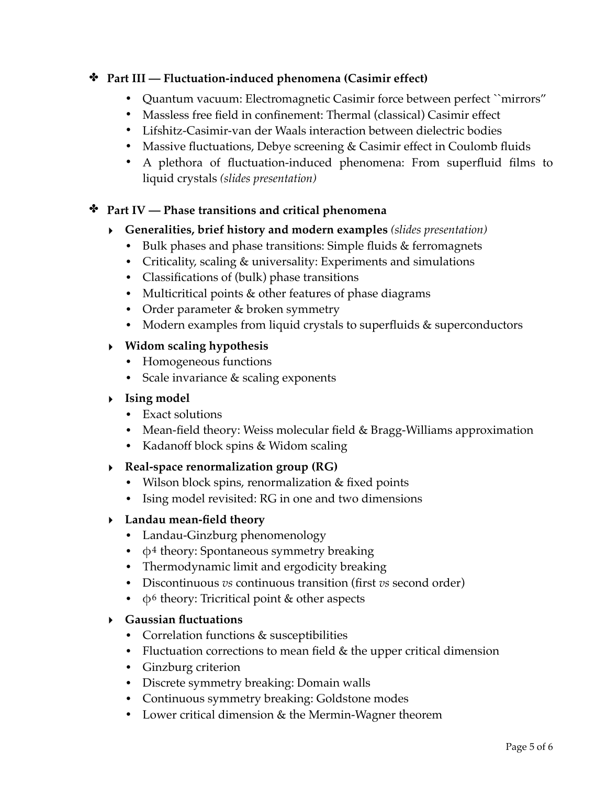# ✤ **Part III — Fluctuation-induced phenomena (Casimir effect)**

- **•** Quantum vacuum: Electromagnetic Casimir force between perfect ``mirrors"
- **•** Massless free field in confinement: Thermal (classical) Casimir effect
- **•** Lifshitz-Casimir-van der Waals interaction between dielectric bodies
- **•** Massive fluctuations, Debye screening & Casimir effect in Coulomb fluids
- **•** A plethora of fluctuation-induced phenomena: From superfluid films to liquid crystals *(slides presentation)*

# ✤ **Part IV — Phase transitions and critical phenomena**

- **‣ Generalities, brief history and modern examples** *(slides presentation)*
	- **•** Bulk phases and phase transitions: Simple fluids & ferromagnets
	- **•** Criticality, scaling & universality: Experiments and simulations
	- **•** Classifications of (bulk) phase transitions
	- **•** Multicritical points & other features of phase diagrams
	- **•** Order parameter & broken symmetry
	- **•** Modern examples from liquid crystals to superfluids & superconductors

# **‣ Widom scaling hypothesis**

- **•** Homogeneous functions
- **•** Scale invariance & scaling exponents

# **‣ Ising model**

- **•** Exact solutions
- **•** Mean-field theory: Weiss molecular field & Bragg-Williams approximation
- **•** Kadanoff block spins & Widom scaling
- **‣ Real-space renormalization group (RG)**
	- **•** Wilson block spins, renormalization & fixed points
	- **•** Ising model revisited: RG in one and two dimensions

# **‣ Landau mean-field theory**

- **•** Landau-Ginzburg phenomenology
- **•** φ4 theory: Spontaneous symmetry breaking
- **•** Thermodynamic limit and ergodicity breaking
- **•** Discontinuous *vs* continuous transition (first *vs* second order)
- **•** φ6 theory: Tricritical point & other aspects

# **‣ Gaussian fluctuations**

- **•** Correlation functions & susceptibilities
- **•** Fluctuation corrections to mean field & the upper critical dimension
- **•** Ginzburg criterion
- **•** Discrete symmetry breaking: Domain walls
- **•** Continuous symmetry breaking: Goldstone modes
- **•** Lower critical dimension & the Mermin-Wagner theorem